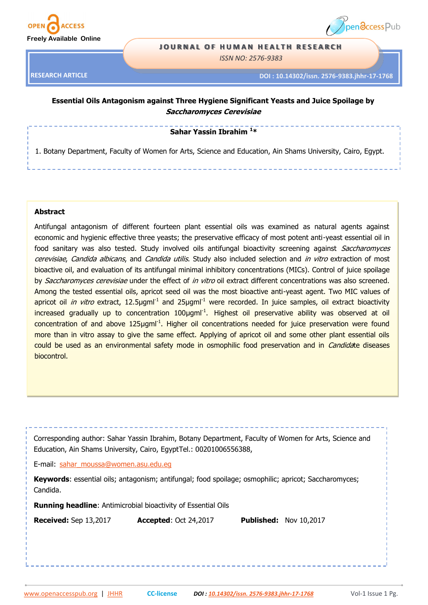



#### **JOURNAL OF HUMAN HEALTH RESEARCH**

*ISSN NO: 2576-9383*

**RESEARCH ARTICLE**

**DOI : 10.14302/issn. 2576-9383.jhhr-17-1768** 

# **Essential Oils Antagonism against Three Hygiene Significant Yeasts and Juice Spoilage by Saccharomyces Cerevisiae**

**Sahar Yassin Ibrahim <sup>1</sup>\***

1. Botany Department, Faculty of Women for Arts, Science and Education, Ain Shams University, Cairo, Egypt.

#### **Abstract**

Antifungal antagonism of different fourteen plant essential oils was examined as natural agents against economic and hygienic effective three yeasts; the preservative efficacy of most potent anti-yeast essential oil in food sanitary was also tested. Study involved oils antifungal bioactivity screening against Saccharomyces cerevisiae, Candida albicans, and Candida utilis. Study also included selection and in vitro extraction of most bioactive oil, and evaluation of its antifungal minimal inhibitory concentrations (MICs). Control of juice spoilage by Saccharomyces cerevisiae under the effect of in vitro oil extract different concentrations was also screened. Among the tested essential oils, apricot seed oil was the most bioactive anti-yeast agent. Two MIC values of apricot oil *in vitro* extract, 12.5µgml<sup>-1</sup> and 25µgml<sup>-1</sup> were recorded. In juice samples, oil extract bioactivity increased gradually up to concentration 100µgml<sup>-1</sup>. Highest oil preservative ability was observed at oil concentration of and above 125µgml<sup>-1</sup>. Higher oil concentrations needed for juice preservation were found more than in vitro assay to give the same effect. Applying of apricot oil and some other plant essential oils could be used as an environmental safety mode in osmophilic food preservation and in *Candidate* diseases biocontrol.

| Corresponding author: Sahar Yassin Ibrahim, Botany Department, Faculty of Women for Arts, Science and |  |  |  |  |  |  |  |  |  |
|-------------------------------------------------------------------------------------------------------|--|--|--|--|--|--|--|--|--|
| Education, Ain Shams University, Cairo, EgyptTel.: 00201006556388,                                    |  |  |  |  |  |  |  |  |  |
| E-mail: sahar moussa@women.asu.edu.eq                                                                 |  |  |  |  |  |  |  |  |  |

**Keywords**: essential oils; antagonism; antifungal; food spoilage; osmophilic; apricot; Saccharomyces; Candida.

**Running headline**: Antimicrobial bioactivity of Essential Oils

**Received:** Sep 13,2017 **Accepted**: Oct 24,2017 **Published:** Nov 10,2017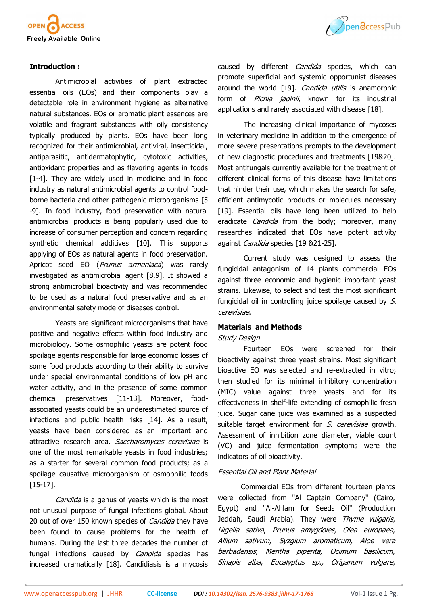

#### **Introduction :**

Antimicrobial activities of plant extracted essential oils (EOs) and their components play a detectable role in environment hygiene as alternative natural substances. EOs or aromatic plant essences are volatile and fragrant substances with oily consistency typically produced by plants. EOs have been long recognized for their antimicrobial, antiviral, insecticidal, antiparasitic, antidermatophytic, cytotoxic activities, antioxidant properties and as flavoring agents in foods [1-4]. They are widely used in medicine and in food industry as natural antimicrobial agents to control foodborne bacteria and other pathogenic microorganisms [5 -9]. In food industry, food preservation with natural antimicrobial products is being popularly used due to increase of consumer perception and concern regarding synthetic chemical additives [10]. This supports applying of EOs as natural agents in food preservation. Apricot seed EO (*Prunus armeniaca*) was rarely investigated as antimicrobial agent [8,9]. It showed a strong antimicrobial bioactivity and was recommended to be used as a natural food preservative and as an environmental safety mode of diseases control.

Yeasts are significant microorganisms that have positive and negative effects within food industry and microbiology. Some osmophilic yeasts are potent food spoilage agents responsible for large economic losses of some food products according to their ability to survive under special environmental conditions of low pH and water activity, and in the presence of some common chemical preservatives [11-13]. Moreover, foodassociated yeasts could be an underestimated source of infections and public health risks [14]. As a result, yeasts have been considered as an important and attractive research area. Saccharomyces cerevisiae is one of the most remarkable yeasts in food industries; as a starter for several common food products; as a spoilage causative microorganism of osmophilic foods [15-17].

Candida is a genus of yeasts which is the most not unusual purpose of fungal infections global. About 20 out of over 150 known species of *Candida* they have been found to cause problems for the health of humans. During the last three decades the number of fungal infections caused by *Candida* species has increased dramatically [18]. Candidiasis is a mycosis



caused by different *Candida* species, which can promote superficial and systemic opportunist diseases around the world [19]. Candida utilis is anamorphic form of Pichia jadinii, known for its industrial applications and rarely associated with disease [18].

The increasing clinical importance of mycoses in veterinary medicine in addition to the emergence of more severe presentations prompts to the development of new diagnostic procedures and treatments [19&20]. Most antifungals currently available for the treatment of different clinical forms of this disease have limitations that hinder their use, which makes the search for safe, efficient antimycotic products or molecules necessary [19]. Essential oils have long been utilized to help eradicate *Candida* from the body; moreover, many researches indicated that EOs have potent activity against Candida species [19 &21-25].

Current study was designed to assess the fungicidal antagonism of 14 plants commercial EOs against three economic and hygienic important yeast strains. Likewise, to select and test the most significant fungicidal oil in controlling juice spoilage caused by S. cerevisiae.

#### **Materials and Methods**

#### Study Design

Fourteen EOs were screened for their bioactivity against three yeast strains. Most significant bioactive EO was selected and re-extracted in vitro; then studied for its minimal inhibitory concentration (MIC) value against three yeasts and for its effectiveness in shelf-life extending of osmophilic fresh juice. Sugar cane juice was examined as a suspected suitable target environment for S. cerevisiae growth. Assessment of inhibition zone diameter, viable count (VC) and juice fermentation symptoms were the indicators of oil bioactivity.

#### Essential Oil and Plant Material

Commercial EOs from different fourteen plants were collected from "Al Captain Company" (Cairo, Egypt) and "Al-Ahlam for Seeds Oil" (Production Jeddah, Saudi Arabia). They were Thyme vulgaris, Nigella sativa, Prunus amygdoles, Olea europaea, Allium sativum, Syzgium aromaticum, Aloe vera barbadensis, Mentha piperita, Ocimum basilicum, Sinapis alba, Eucalyptus sp., Origanum vulgare,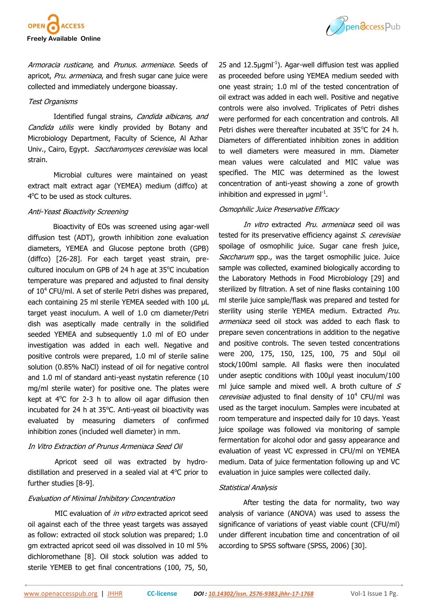

Armoracia rusticane, and Prunus. armeniace. Seeds of apricot, Pru. armeniaca, and fresh sugar cane juice were collected and immediately undergone bioassay.

#### Test Organisms

Identified fungal strains, Candida albicans, and Candida utilis were kindly provided by Botany and Microbiology Department, Faculty of Science, Al Azhar Univ., Cairo, Egypt. Saccharomyces cerevisiae was local strain.

Microbial cultures were maintained on yeast extract malt extract agar (YEMEA) medium (diffco) at 4°C to be used as stock cultures.

#### Anti-Yeast Bioactivity Screening

Bioactivity of EOs was screened using agar-well diffusion test (ADT), growth inhibition zone evaluation diameters, YEMEA and Glucose peptone broth (GPB) (diffco) [26-28]. For each target yeast strain, precultured inoculum on GPB of 24 h age at 35°C incubation temperature was prepared and adjusted to final density of 10<sup>4</sup> CFU/ml. A set of sterile Petri dishes was prepared, each containing 25 ml sterile YEMEA seeded with 100 μL target yeast inoculum. A well of 1.0 cm diameter/Petri dish was aseptically made centrally in the solidified seeded YEMEA and subsequently 1.0 ml of EO under investigation was added in each well. Negative and positive controls were prepared, 1.0 ml of sterile saline solution (0.85% NaCl) instead of oil for negative control and 1.0 ml of standard anti-yeast nystatin reference (10 mg/ml sterile water) for positive one. The plates were kept at  $4^{\circ}$ C for 2-3 h to allow oil agar diffusion then incubated for 24 h at 35°C. Anti-yeast oil bioactivity was evaluated by measuring diameters of confirmed inhibition zones (included well diameter) in mm.

## In Vitro Extraction of Prunus Armeniaca Seed Oil

 Apricot seed oil was extracted by hydrodistillation and preserved in a sealed vial at  $4^{\circ}$ C prior to further studies [8-9].

## Evaluation of Minimal Inhibitory Concentration

MIC evaluation of in vitro extracted apricot seed oil against each of the three yeast targets was assayed as follow: extracted oil stock solution was prepared; 1.0 gm extracted apricot seed oil was dissolved in 10 ml 5% dichloromethane [8]. Oil stock solution was added to sterile YEMEB to get final concentrations (100, 75, 50,



25 and  $12.5 \mu$ gml<sup>-1</sup>). Agar-well diffusion test was applied as proceeded before using YEMEA medium seeded with one yeast strain; 1.0 ml of the tested concentration of oil extract was added in each well. Positive and negative controls were also involved. Triplicates of Petri dishes were performed for each concentration and controls. All Petri dishes were thereafter incubated at 35°C for 24 h. Diameters of differentiated inhibition zones in addition to well diameters were measured in mm. Diameter mean values were calculated and MIC value was specified. The MIC was determined as the lowest concentration of anti-yeast showing a zone of growth inhibition and expressed in  $\mu$ gml<sup>-1</sup>.

## Osmophilic Juice Preservative Efficacy

In vitro extracted Pru, armeniaca seed oil was tested for its preservative efficiency against S. cerevisiae spoilage of osmophilic juice. Sugar cane fresh juice, Saccharum spp., was the target osmophilic juice. Juice sample was collected, examined biologically according to the Laboratory Methods in Food Microbiology [29] and sterilized by filtration. A set of nine flasks containing 100 ml sterile juice sample/flask was prepared and tested for sterility using sterile YEMEA medium. Extracted Pru. armeniaca seed oil stock was added to each flask to prepare seven concentrations in addition to the negative and positive controls. The seven tested concentrations were 200, 175, 150, 125, 100, 75 and 50μl oil stock/100ml sample. All flasks were then inoculated under aseptic conditions with 100µl yeast inoculum/100 ml juice sample and mixed well. A broth culture of  $S$ cerevisiae adjusted to final density of  $10^4$  CFU/ml was used as the target inoculum. Samples were incubated at room temperature and inspected daily for 10 days. Yeast juice spoilage was followed via monitoring of sample fermentation for alcohol odor and gassy appearance and evaluation of yeast VC expressed in CFU/ml on YEMEA medium. Data of juice fermentation following up and VC evaluation in juice samples were collected daily.

#### Statistical Analysis

 After testing the data for normality, two way analysis of variance (ANOVA) was used to assess the significance of variations of yeast viable count (CFU/ml) under different incubation time and concentration of oil according to SPSS software (SPSS, 2006) [30].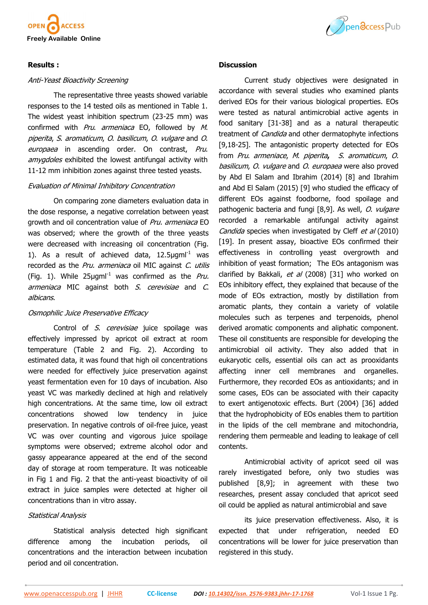

## **Results :**

#### Anti-Yeast Bioactivity Screening

The representative three yeasts showed variable responses to the 14 tested oils as mentioned in Table 1. The widest yeast inhibition spectrum (23-25 mm) was confirmed with Pru. armeniaca EO, followed by M. piperita, S. aromaticum, O. basilicum, O. vulgare and O. europaea in ascending order. On contrast, Pru. amygdoles exhibited the lowest antifungal activity with 11-12 mm inhibition zones against three tested yeasts.

#### Evaluation of Minimal Inhibitory Concentration

On comparing zone diameters evaluation data in the dose response, a negative correlation between yeast growth and oil concentration value of Pru. armeniaca EO was observed; where the growth of the three yeasts were decreased with increasing oil concentration (Fig. 1). As a result of achieved data,  $12.5 \mu$ gml<sup>-1</sup> was recorded as the Pru. armeniaca oil MIC against C. utilis (Fig. 1). While  $25\mu$ gml<sup>-1</sup> was confirmed as the *Pru.* armeniaca MIC against both S. cerevisiae and C. albicans.

## Osmophilic Juice Preservative Efficacy

Control of S. cerevisiae juice spoilage was effectively impressed by apricot oil extract at room temperature (Table 2 and Fig. 2). According to estimated data, it was found that high oil concentrations were needed for effectively juice preservation against yeast fermentation even for 10 days of incubation. Also yeast VC was markedly declined at high and relatively high concentrations. At the same time, low oil extract concentrations showed low tendency in juice preservation. In negative controls of oil-free juice, yeast VC was over counting and vigorous juice spoilage symptoms were observed; extreme alcohol odor and gassy appearance appeared at the end of the second day of storage at room temperature. It was noticeable in Fig 1 and Fig. 2 that the anti-yeast bioactivity of oil extract in juice samples were detected at higher oil concentrations than in vitro assay.

## Statistical Analysis

Statistical analysis detected high significant difference among the incubation periods, oil concentrations and the interaction between incubation period and oil concentration.



#### **Discussion**

Current study objectives were designated in accordance with several studies who examined plants derived EOs for their various biological properties. EOs were tested as natural antimicrobial active agents in food sanitary [31-38] and as a natural therapeutic treatment of *Candida* and other dermatophyte infections [9,18-25]. The antagonistic property detected for EOs from Pru. armeniace, M. piperita**,** S. aromaticum, O. basilicum, O. vulgare and O. europaea were also proved by Abd El Salam and Ibrahim (2014) [8] and Ibrahim and Abd El Salam (2015) [9] who studied the efficacy of different EOs against foodborne, food spoilage and pathogenic bacteria and fungi [8,9]. As well, O. vulgare recorded a remarkable antifungal activity against Candida species when investigated by Cleff et al (2010) [19]. In present assay, bioactive EOs confirmed their effectiveness in controlling yeast overgrowth and inhibition of yeast formation; The EOs antagonism was clarified by Bakkali, et al (2008) [31] who worked on EOs inhibitory effect, they explained that because of the mode of EOs extraction, mostly by distillation from aromatic plants, they contain a variety of volatile molecules such as terpenes and terpenoids, phenol derived aromatic components and aliphatic component. These oil constituents are responsible for developing the antimicrobial oil activity. They also added that in eukaryotic cells, essential oils can act as prooxidants affecting inner cell membranes and organelles. Furthermore, they recorded EOs as antioxidants; and in some cases, EOs can be associated with their capacity to exert antigenotoxic effects. Burt (2004) [36] added that the hydrophobicity of EOs enables them to partition in the lipids of the cell membrane and mitochondria, rendering them permeable and leading to leakage of cell contents.

Antimicrobial activity of apricot seed oil was rarely investigated before, only two studies was published [8,9]; in agreement with these two researches, present assay concluded that apricot seed oil could be applied as natural antimicrobial and save

its juice preservation effectiveness. Also, it is expected that under refrigeration, needed EO concentrations will be lower for juice preservation than registered in this study.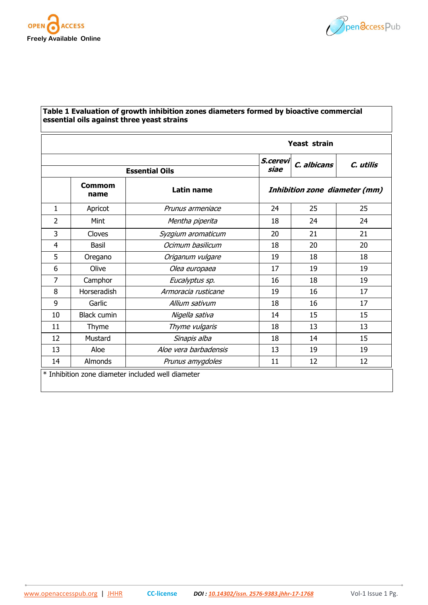



| essential oils against three yeast strains      |                       |                       |                               |             |           |  |  |  |  |  |  |
|-------------------------------------------------|-----------------------|-----------------------|-------------------------------|-------------|-----------|--|--|--|--|--|--|
|                                                 | <b>Yeast strain</b>   |                       |                               |             |           |  |  |  |  |  |  |
|                                                 |                       | <b>Essential Oils</b> | S.cerevi<br>siae              | C. albicans | C. utilis |  |  |  |  |  |  |
|                                                 | <b>Commom</b><br>name | <b>Latin name</b>     | Inhibition zone diameter (mm) |             |           |  |  |  |  |  |  |
| 1                                               | Apricot               | Prunus armeniace      | 24                            | 25          | 25        |  |  |  |  |  |  |
| 2                                               | Mint                  | Mentha piperita       | 18                            | 24          | 24        |  |  |  |  |  |  |
| 3                                               | Cloves                | Syzgium aromaticum    | 20                            | 21          | 21        |  |  |  |  |  |  |
| $\overline{4}$                                  | Basil                 | Ocimum basilicum      | 18                            | 20          | 20        |  |  |  |  |  |  |
| 5                                               | Oregano               | Origanum vulgare      | 19                            | 18          | 18        |  |  |  |  |  |  |
| 6                                               | Olive                 | Olea europaea         | 17                            | 19          | 19        |  |  |  |  |  |  |
| $\overline{7}$                                  | Camphor               | Eucalyptus sp.        | 16                            | 18          | 19        |  |  |  |  |  |  |
| 8                                               | Horseradish           | Armoracia rusticane   | 19                            | 16          | 17        |  |  |  |  |  |  |
| 9                                               | Garlic                | Allium sativum        | 18                            | 16          | 17        |  |  |  |  |  |  |
| 10                                              | <b>Black cumin</b>    | Nigella sativa        | 14                            | 15          | 15        |  |  |  |  |  |  |
| 11                                              | Thyme                 | Thyme vulgaris        | 18                            | 13          | 13        |  |  |  |  |  |  |
| 12                                              | Mustard               | Sinapis alba          | 18                            | 14          | 15        |  |  |  |  |  |  |
| 13                                              | Aloe                  | Aloe vera barbadensis | 13                            | 19          | 19        |  |  |  |  |  |  |
| 14                                              | Almonds               | Prunus amygdoles      | 11                            | 12          | 12        |  |  |  |  |  |  |
| Inhibition zone diameter included well diameter |                       |                       |                               |             |           |  |  |  |  |  |  |

# **Table 1 Evaluation of growth inhibition zones diameters formed by bioactive commercial**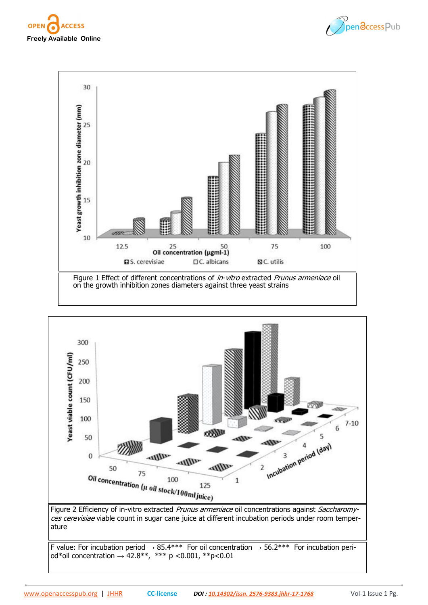







F value: For incubation period  $\rightarrow$  85.4\*\*\* For oil concentration  $\rightarrow$  56.2\*\*\* For incubation period\*oil concentration  $\rightarrow$  42.8<sup>\*\*</sup>, \*\*\* p <0.001, \*\*p<0.01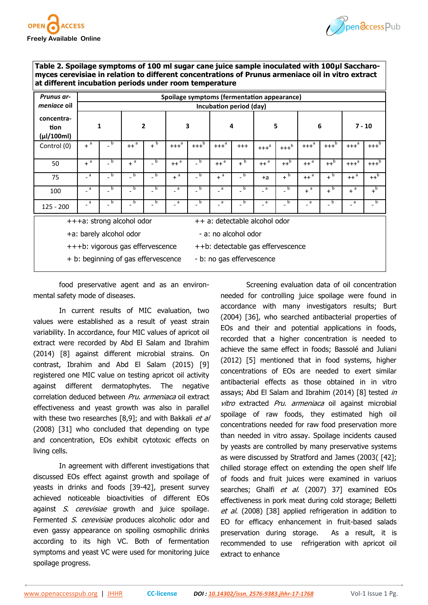



**Table 2. Spoilage symptoms of 100 ml sugar cane juice sample inoculated with 100μl Saccharomyces cerevisiae in relation to different concentrations of Prunus armeniace oil in vitro extract at different incubation periods under room temperature**

| <b>Prunus ar-</b>                                                     | Spoilage symptoms (fermentation appearance) |                  |                  |                  |                  |                    |                  |                          |                |                            |                   |                    |                  |                    |
|-----------------------------------------------------------------------|---------------------------------------------|------------------|------------------|------------------|------------------|--------------------|------------------|--------------------------|----------------|----------------------------|-------------------|--------------------|------------------|--------------------|
| meniace oil                                                           | Incubation period (day)                     |                  |                  |                  |                  |                    |                  |                          |                |                            |                   |                    |                  |                    |
| concentra-<br>tion<br>(µl/100ml)                                      | $\mathbf{1}$                                |                  | $\overline{2}$   |                  | 3                |                    | 4                |                          | 5              |                            | 6                 |                    | $7 - 10$         |                    |
| Control (0)                                                           | $+$ <sup>a</sup>                            | b                | $++^a$           | $+$ <sub>b</sub> | $++^a$           | $+++$ <sup>b</sup> | $++^a$           | $^{+++}$                 | $++^a$         | $+++^b$                    | $++^a$            | $+++$ <sup>b</sup> | $++^a$           | $+++^b$            |
| 50                                                                    | $+$ <sup>a</sup>                            | $-b$             | $+$ <sup>a</sup> | $\overline{b}$   | $++^a$           | $b =$              | $++^a$           | $+$ <sub>b</sub>         | $++^a$         | $++p$                      | $++^a$            | $++^b$             | $++^a$           | $+++$ <sup>b</sup> |
| 75                                                                    | $a^2$                                       | $-$ <sub>b</sub> | $-$ <sub>p</sub> | b                | $+$ <sup>a</sup> | $-$ b              | $+$ <sup>a</sup> | b                        | $+a$           | $+$ <sub>p</sub>           | $++$ <sup>a</sup> | $+$ <sub>p</sub>   | $++^a$           | $++b$              |
| 100                                                                   | $\overline{a}$                              | $\overline{b}$   | $\overline{b}$   | $\overline{b}$   | $\overline{a}$   | $\overline{b}$     | $a^2$            | $\overline{\phantom{a}}$ | $\overline{a}$ | $\overline{b}$             | $+$ <sup>a</sup>  | $+$ <sup>b</sup>   | $+$ <sup>a</sup> | $+$ <sub>p</sub>   |
| $125 - 200$                                                           | $-$ a                                       | $\overline{a}$   | $\overline{a}$   | $\overline{b}$   | $-$ a            | $\overline{b}$     | $-$ a            | b                        | $a^2$          | $\overline{\phantom{a}}$ b | $-$ a             | $\overline{b}$     | $-$ a            | b                  |
| ++ a: detectable alcohol odor<br>+++a: strong alcohol odor            |                                             |                  |                  |                  |                  |                    |                  |                          |                |                            |                   |                    |                  |                    |
| +a: barely alcohol odor<br>- a: no alcohol odor                       |                                             |                  |                  |                  |                  |                    |                  |                          |                |                            |                   |                    |                  |                    |
| +++b: vigorous gas effervescence<br>++b: detectable gas effervescence |                                             |                  |                  |                  |                  |                    |                  |                          |                |                            |                   |                    |                  |                    |
| + b: beginning of gas effervescence<br>- b: no gas effervescence      |                                             |                  |                  |                  |                  |                    |                  |                          |                |                            |                   |                    |                  |                    |

food preservative agent and as an environmental safety mode of diseases.

In current results of MIC evaluation, two values were established as a result of yeast strain variability. In accordance, four MIC values of apricot oil extract were recorded by Abd El Salam and Ibrahim (2014) [8] against different microbial strains. On contrast, Ibrahim and Abd El Salam (2015) [9] registered one MIC value on testing apricot oil activity against different dermatophytes. The negative correlation deduced between Pru. armeniaca oil extract effectiveness and yeast growth was also in parallel with these two researches  $[8,9]$ ; and with Bakkali et al (2008) [31] who concluded that depending on type and concentration, EOs exhibit cytotoxic effects on living cells.

In agreement with different investigations that discussed EOs effect against growth and spoilage of yeasts in drinks and foods [39-42], present survey achieved noticeable bioactivities of different EOs against S. cerevisiae growth and juice spoilage. Fermented S. cerevisiae produces alcoholic odor and even gassy appearance on spoiling osmophilic drinks according to its high VC. Both of fermentation symptoms and yeast VC were used for monitoring juice spoilage progress.

Screening evaluation data of oil concentration needed for controlling juice spoilage were found in accordance with many investigators results; Burt (2004) [36], who searched antibacterial properties of EOs and their and potential applications in foods, recorded that a higher concentration is needed to achieve the same effect in foods; Bassolé and Juliani (2012) [5] mentioned that in food systems, higher concentrations of EOs are needed to exert similar antibacterial effects as those obtained in in vitro assays; Abd El Salam and Ibrahim (2014) [8] tested in vitro extracted Pru. armeniaca oil against microbial spoilage of raw foods, they estimated high oil concentrations needed for raw food preservation more than needed in vitro assay. Spoilage incidents caused by yeasts are controlled by many preservative systems as were discussed by Stratford and James (2003( [42]; chilled storage effect on extending the open shelf life of foods and fruit juices were examined in variuos searches; Ghalfi et al. (2007) 37] examined EOs effectiveness in pork meat during cold storage; Belletti et al. (2008) [38] applied refrigeration in addition to EO for efficacy enhancement in fruit-based salads preservation during storage. As a result, it is recommended to use refrigeration with apricot oil extract to enhance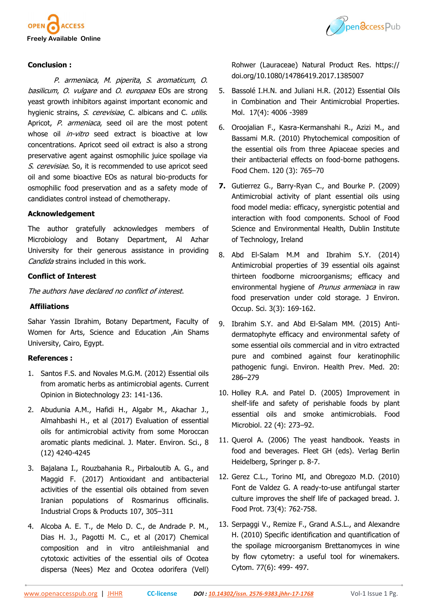



## **Conclusion :**

P. armeniaca, M. piperita, S. aromaticum, O. basilicum, O. vulgare and O. europaea EOs are strong yeast growth inhibitors against important economic and hygienic strains, S. cerevisiae, C. albicans and C. utilis. Apricot, P. armeniaca, seed oil are the most potent whose oil *in-vitro* seed extract is bioactive at low concentrations. Apricot seed oil extract is also a strong preservative agent against osmophilic juice spoilage via S. cerevisiae. So, it is recommended to use apricot seed oil and some bioactive EOs as natural bio-products for osmophilic food preservation and as a safety mode of candidiates control instead of chemotherapy.

## **Acknowledgement**

The author gratefully acknowledges members of Microbiology and Botany Department, Al Azhar University for their generous assistance in providing Candida strains included in this work.

## **Conflict of Interest**

The authors have declared no conflict of interest.

#### **Affiliations**

Sahar Yassin Ibrahim, Botany Department, Faculty of Women for Arts, Science and Education ,Ain Shams University, Cairo, Egypt.

## **References :**

- 1. Santos F.S. and Novales M.G.M. (2012) Essential oils from aromatic herbs as antimicrobial agents. Current Opinion in Biotechnology 23: 141-136.
- 2. Abudunia A.M., Hafidi H., Algabr M., Akachar J., Almahbashi H., et al (2017) Evaluation of essential oils for antimicrobial activity from some Moroccan aromatic plants medicinal. J. Mater. Environ. Sci., 8 (12) 4240-4245
- 3. Bajalana I., Rouzbahania R., Pirbaloutib A. G., and Maggid F. (2017) Antioxidant and antibacterial activities of the essential oils obtained from seven Iranian populations of Rosmarinus officinalis. Industrial Crops & Products 107, 305–311
- 4. Alcoba A. E. T., de Melo D. C., de Andrade P. M., Dias H. J., Pagotti M. C., et al (2017) Chemical composition and in vitro antileishmanial and cytotoxic activities of the essential oils of Ocotea dispersa (Nees) Mez and Ocotea odorifera (Vell)

Rohwer (Lauraceae) Natural Product Res. https:// doi.org/10.1080/14786419.2017.1385007

- 5. Bassolé I.H.N. and Juliani H.R. (2012) Essential Oils in Combination and Their Antimicrobial Properties. Mol. 17(4): 4006 -3989
- 6. Oroojalian F., Kasra-Kermanshahi R., Azizi M., and Bassami M.R. (2010) Phytochemical composition of the essential oils from three Apiaceae species and their antibacterial effects on food-borne pathogens. Food Chem. 120 (3): 765–70
- **7.** Gutierrez G., Barry-Ryan C., and Bourke P. (2009) Antimicrobial activity of plant essential oils using food model media: efficacy, synergistic potential and interaction with food components. School of Food Science and Environmental Health, Dublin Institute of Technology, Ireland
- 8. Abd El-Salam M.M and Ibrahim S.Y. (2014) Antimicrobial properties of 39 essential oils against thirteen foodborne microorganisms; efficacy and environmental hygiene of *Prunus armeniaca* in raw food preservation under cold storage. J Environ. Occup. Sci. 3(3): 169-162.
- 9. Ibrahim S.Y. and Abd El-Salam MM. (2015) Antidermatophyte efficacy and environmental safety of some essential oils commercial and in vitro extracted pure and combined against four keratinophilic pathogenic fungi. Environ. Health Prev. Med. 20: 286–279
- 10. Holley R.A. and Patel D. (2005) Improvement in shelf-life and safety of perishable foods by plant essential oils and smoke antimicrobials. Food Microbiol. 22 (4): 273–92.
- 11. Querol A. (2006) The yeast handbook. Yeasts in food and beverages. Fleet GH (eds). Verlag Berlin Heidelberg, Springer p. 8-7.
- 12. Gerez C.L., Torino MI, and Obregozo M.D. (2010) Font de Valdez G. A ready-to-use antifungal starter culture improves the shelf life of packaged bread. J. Food Prot. 73(4): 762-758.
- 13. Serpaggi V., Remize F., Grand A.S.L., and Alexandre H. (2010) Specific identification and quantification of the spoilage microorganism Brettanomyces in wine by flow cytometry: a useful tool for winemakers. Cytom. 77(6): 499- 497.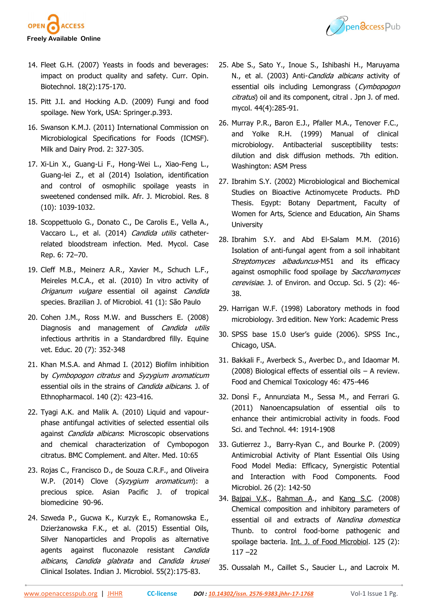



- 14. Fleet G.H. (2007) Yeasts in foods and beverages: impact on product quality and safety. Curr. Opin. Biotechnol. 18(2):175-170.
- 15. Pitt J.I. and Hocking A.D. (2009) Fungi and food spoilage. New York, USA: Springer.p.393.
- 16. Swanson K.M.J. (2011) International Commission on Microbiological Specifications for Foods (ICMSF). Milk and Dairy Prod. 2: 327-305.
- 17. Xi-Lin X., Guang-Li F., Hong-Wei L., Xiao-Feng L., Guang-lei Z., et al (2014) Isolation, identification and control of osmophilic spoilage yeasts in sweetened condensed milk. Afr. J. Microbiol. Res. 8 (10): 1039-1032.
- 18. Scoppettuolo G., Donato C., De Carolis E., Vella A., Vaccaro L., et al. (2014) Candida utilis catheterrelated bloodstream infection. Med. Mycol. Case Rep. 6: 72–70.
- 19. Cleff M.B., Meinerz A.R., Xavier M., Schuch L.F., Meireles M.C.A., et al. (2010) In vitro activity of Origanum vulgare essential oil against Candida species. Brazilian J. of Microbiol. 41 (1): São Paulo
- 20. Cohen J.M., Ross M.W. and Busschers E. (2008) Diagnosis and management of Candida utilis infectious arthritis in a Standardbred filly. Equine vet. Educ. 20 (7): 352-348
- 21. Khan M.S.A. and Ahmad I. (2012) Biofilm inhibition by Cymbopogon citratus and Syzygium aromaticum essential oils in the strains of *Candida albicans*. J. of Ethnopharmacol. 140 (2): 423-416.
- 22. Tyagi A.K. and Malik A. (2010) Liquid and vapourphase antifungal activities of selected essential oils against Candida albicans. Microscopic observations and chemical characterization of Cymbopogon citratus. BMC Complement. and Alter. Med. 10:65
- 23. Rojas C., Francisco D., de Souza C.R.F., and Oliveira W.P. (2014) Clove (Syzygium aromaticum): a precious spice. Asian Pacific J. of tropical biomedicine 90-96.
- 24. Szweda P., Gucwa K., Kurzyk E., Romanowska E., Dzierżanowska F.K., et al. (2015) Essential Oils, Silver Nanoparticles and Propolis as alternative agents against fluconazole resistant Candida albicans, Candida glabrata and Candida krusei Clinical Isolates. Indian J. Microbiol. 55(2):175-83.
- 25. Abe S., Sato Y., Inoue S., Ishibashi H., Maruyama N., et al. (2003) Anti-Candida albicans activity of essential oils including Lemongrass (Cymbopogon citratus) oil and its component, citral . Jpn J. of med. mycol. 44(4):285-91.
- 26. Murray P.R., Baron E.J., Pfaller M.A., Tenover F.C., and Yolke R.H. (1999) Manual of clinical microbiology. Antibacterial susceptibility tests: dilution and disk diffusion methods. 7th edition. Washington: ASM Press
- 27. Ibrahim S.Y. (2002) Microbiological and Biochemical Studies on Bioactive Actinomycete Products. PhD Thesis. Egypt: Botany Department, Faculty of Women for Arts, Science and Education, Ain Shams **University**
- 28. Ibrahim S.Y. and Abd El-Salam M.M. (2016) Isolation of anti-fungal agent from a soil inhabitant Streptomyces albaduncus-M51 and its efficacy against osmophilic food spoilage by Saccharomyces cerevisiae. J. of Environ. and Occup. Sci. 5 (2): 46-38.
- 29. Harrigan W.F. (1998) Laboratory methods in food microbiology. 3rd edition. New York: Academic Press
- 30. SPSS base 15.0 User's guide (2006). SPSS Inc., Chicago, USA.
- 31. Bakkali F., Averbeck S., Averbec D., and Idaomar M. (2008) Biological effects of essential oils – A review. Food and Chemical Toxicology 46: 475-446
- 32. Donsì F., Annunziata M., Sessa M., and Ferrari G. (2011) Nanoencapsulation of essential oils to enhance their antimicrobial activity in foods. Food Sci. and Technol. 44: 1914-1908
- 33. Gutierrez J., Barry-Ryan C., and Bourke P. (2009) Antimicrobial Activity of Plant Essential Oils Using Food Model Media: Efficacy, Synergistic Potential and Interaction with Food Components. Food Microbiol. 26 (2): 142-50
- 34. [Bajpai V.K.,](http://www.ncbi.nlm.nih.gov/pubmed?term=Bajpai%20VK%5BAuthor%5D&cauthor=true&cauthor_uid=18541324) [Rahman A.,](http://www.ncbi.nlm.nih.gov/pubmed?term=Rahman%20A%5BAuthor%5D&cauthor=true&cauthor_uid=18541324) and [Kang S.C.](http://www.ncbi.nlm.nih.gov/pubmed?term=Kang%20SC%5BAuthor%5D&cauthor=true&cauthor_uid=18541324) (2008) Chemical composition and inhibitory parameters of essential oil and extracts of Nandina domestica Thunb. to control food-borne pathogenic and spoilage bacteria. [Int. J. of Food Microbiol](http://www.ncbi.nlm.nih.gov/pubmed/18541324). 125 (2): 117 –22
- 35. Oussalah M., Caillet S., Saucier L., and Lacroix M.